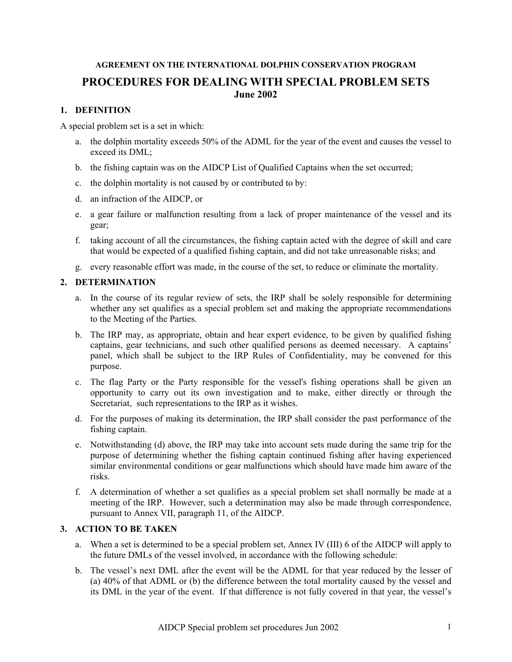## **AGREEMENT ON THE INTERNATIONAL DOLPHIN CONSERVATION PROGRAM PROCEDURES FOR DEALING WITH SPECIAL PROBLEM SETS June 2002**

## **1. DEFINITION**

A special problem set is a set in which:

- a. the dolphin mortality exceeds 50% of the ADML for the year of the event and causes the vessel to exceed its DML;
- b. the fishing captain was on the AIDCP List of Qualified Captains when the set occurred;
- c. the dolphin mortality is not caused by or contributed to by:
- d. an infraction of the AIDCP, or
- e. a gear failure or malfunction resulting from a lack of proper maintenance of the vessel and its gear;
- f. taking account of all the circumstances, the fishing captain acted with the degree of skill and care that would be expected of a qualified fishing captain, and did not take unreasonable risks; and
- g. every reasonable effort was made, in the course of the set, to reduce or eliminate the mortality.

## **2. DETERMINATION**

- a. In the course of its regular review of sets, the IRP shall be solely responsible for determining whether any set qualifies as a special problem set and making the appropriate recommendations to the Meeting of the Parties.
- b. The IRP may, as appropriate, obtain and hear expert evidence, to be given by qualified fishing captains, gear technicians, and such other qualified persons as deemed necessary. A captains' panel, which shall be subject to the IRP Rules of Confidentiality, may be convened for this purpose.
- c. The flag Party or the Party responsible for the vessel's fishing operations shall be given an opportunity to carry out its own investigation and to make, either directly or through the Secretariat, such representations to the IRP as it wishes.
- d. For the purposes of making its determination, the IRP shall consider the past performance of the fishing captain.
- e. Notwithstanding (d) above, the IRP may take into account sets made during the same trip for the purpose of determining whether the fishing captain continued fishing after having experienced similar environmental conditions or gear malfunctions which should have made him aware of the risks.
- f. A determination of whether a set qualifies as a special problem set shall normally be made at a meeting of the IRP. However, such a determination may also be made through correspondence, pursuant to Annex VII, paragraph 11, of the AIDCP.

## **3. ACTION TO BE TAKEN**

- a. When a set is determined to be a special problem set, Annex IV (III) 6 of the AIDCP will apply to the future DMLs of the vessel involved, in accordance with the following schedule:
- b. The vessel's next DML after the event will be the ADML for that year reduced by the lesser of (a) 40% of that ADML or (b) the difference between the total mortality caused by the vessel and its DML in the year of the event. If that difference is not fully covered in that year, the vessel's